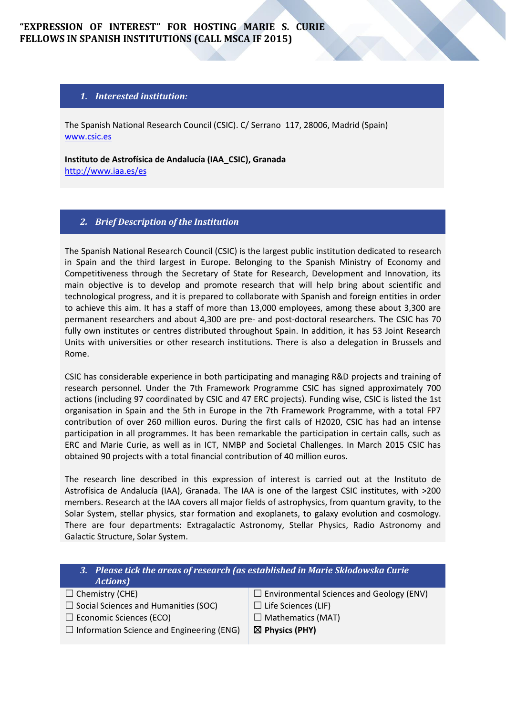# **"EXPRESSION OF INTEREST" FOR HOSTING MARIE S. CURIE FELLOWS IN SPANISH INSTITUTIONS (CALL MSCA IF 2015)**

### *1. Interested institution:*

The Spanish National Research Council (CSIC). C/ Serrano 117, 28006, Madrid (Spain) [www.csic.es](http://www.csic.es/)

**Instituto de Astrofísica de Andalucía (IAA\_CSIC), Granada**  <http://www.iaa.es/es>

### *2. Brief Description of the Institution*

The Spanish National Research Council (CSIC) is the largest public institution dedicated to research in Spain and the third largest in Europe. Belonging to the Spanish Ministry of Economy and Competitiveness through the Secretary of State for Research, Development and Innovation, its main objective is to develop and promote research that will help bring about scientific and technological progress, and it is prepared to collaborate with Spanish and foreign entities in order to achieve this aim. It has a staff of more than 13,000 employees, among these about 3,300 are permanent researchers and about 4,300 are pre- and post-doctoral researchers. The CSIC has 70 fully own institutes or centres distributed throughout Spain. In addition, it has 53 Joint Research Units with universities or other research institutions. There is also a delegation in Brussels and Rome.

CSIC has considerable experience in both participating and managing R&D projects and training of research personnel. Under the 7th Framework Programme CSIC has signed approximately 700 actions (including 97 coordinated by CSIC and 47 ERC projects). Funding wise, CSIC is listed the 1st organisation in Spain and the 5th in Europe in the 7th Framework Programme, with a total FP7 contribution of over 260 million euros. During the first calls of H2020, CSIC has had an intense participation in all programmes. It has been remarkable the participation in certain calls, such as ERC and Marie Curie, as well as in ICT, NMBP and Societal Challenges. In March 2015 CSIC has obtained 90 projects with a total financial contribution of 40 million euros.

The research line described in this expression of interest is carried out at the Instituto de Astrofísica de Andalucía (IAA), Granada. The IAA is one of the largest CSIC institutes, with >200 members. Research at the IAA covers all major fields of astrophysics, from quantum gravity, to the Solar System, stellar physics, star formation and exoplanets, to galaxy evolution and cosmology. There are four departments: Extragalactic Astronomy, Stellar Physics, Radio Astronomy and Galactic Structure, Solar System.

| 3. Please tick the areas of research (as established in Marie Sklodowska Curie<br><b>Actions</b> ) |                                                 |
|----------------------------------------------------------------------------------------------------|-------------------------------------------------|
| $\Box$ Chemistry (CHE)                                                                             | $\Box$ Environmental Sciences and Geology (ENV) |
| $\Box$ Social Sciences and Humanities (SOC)                                                        | $\Box$ Life Sciences (LIF)                      |
| $\Box$ Economic Sciences (ECO)                                                                     | $\Box$ Mathematics (MAT)                        |
| $\Box$ Information Science and Engineering (ENG)                                                   | $\boxtimes$ Physics (PHY)                       |
|                                                                                                    |                                                 |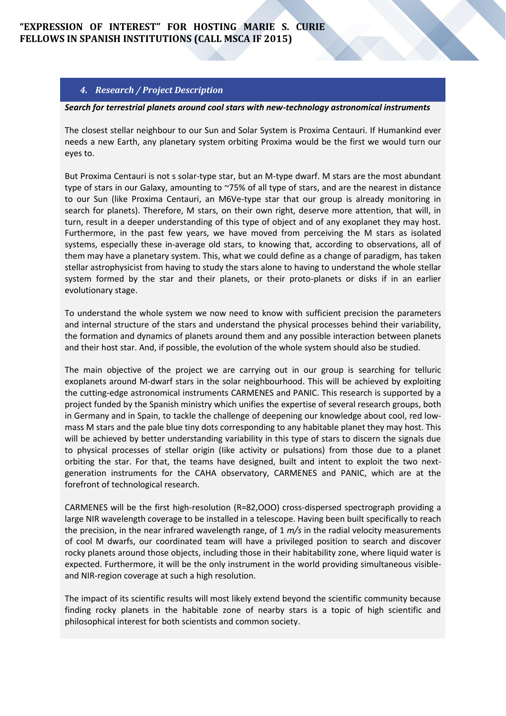## **"EXPRESSION OF INTEREST" FOR HOSTING MARIE S. CURIE FELLOWS IN SPANISH INSTITUTIONS (CALL MSCA IF 2015)**

## *4. Research / Project Description*

#### *Search for terrestrial planets around cool stars with new-technology astronomical instruments*

The closest stellar neighbour to our Sun and Solar System is Proxima Centauri. If Humankind ever needs a new Earth, any planetary system orbiting Proxima would be the first we would turn our eyes to.

But Proxima Centauri is not s solar-type star, but an M-type dwarf. M stars are the most abundant type of stars in our Galaxy, amounting to ~75% of all type of stars, and are the nearest in distance to our Sun (like Proxima Centauri, an M6Ve-type star that our group is already monitoring in search for planets). Therefore, M stars, on their own right, deserve more attention, that will, in turn, result in a deeper understanding of this type of object and of any exoplanet they may host. Furthermore, in the past few years, we have moved from perceiving the M stars as isolated systems, especially these in-average old stars, to knowing that, according to observations, all of them may have a planetary system. This, what we could define as a change of paradigm, has taken stellar astrophysicist from having to study the stars alone to having to understand the whole stellar system formed by the star and their planets, or their proto-planets or disks if in an earlier evolutionary stage.

To understand the whole system we now need to know with sufficient precision the parameters and internal structure of the stars and understand the physical processes behind their variability, the formation and dynamics of planets around them and any possible interaction between planets and their host star. And, if possible, the evolution of the whole system should also be studied.

The main objective of the project we are carrying out in our group is searching for telluric exoplanets around M-dwarf stars in the solar neighbourhood. This will be achieved by exploiting the cutting-edge astronomical instruments CARMENES and PANIC. This research is supported by a project funded by the Spanish ministry which unifies the expertise of several research groups, both in Germany and in Spain, to tackle the challenge of deepening our knowledge about cool, red lowmass M stars and the pale blue tiny dots corresponding to any habitable planet they may host. This will be achieved by better understanding variability in this type of stars to discern the signals due to physical processes of stellar origin (Iike activity or pulsations) from those due to a planet orbiting the star. For that, the teams have designed, built and intent to exploit the two nextgeneration instruments for the CAHA observatory, CARMENES and PANIC, which are at the forefront of technological research.

CARMENES will be the first high-resolution (R=82,OOO) cross-dispersed spectrograph providing a large NIR wavelength coverage to be installed in a telescope. Having been built specifically to reach the precision, in the near infrared wavelength range, of 1 *m/s* in the radial velocity measurements of cool M dwarfs, our coordinated team will have a privileged position to search and discover rocky planets around those objects, including those in their habitability zone, where liquid water is expected. Furthermore, it will be the only instrument in the world providing simultaneous visibleand NIR-region coverage at such a high resolution.

The impact of its scientific results will most likely extend beyond the scientific community because finding rocky planets in the habitable zone of nearby stars is a topic of high scientific and philosophical interest for both scientists and common society.